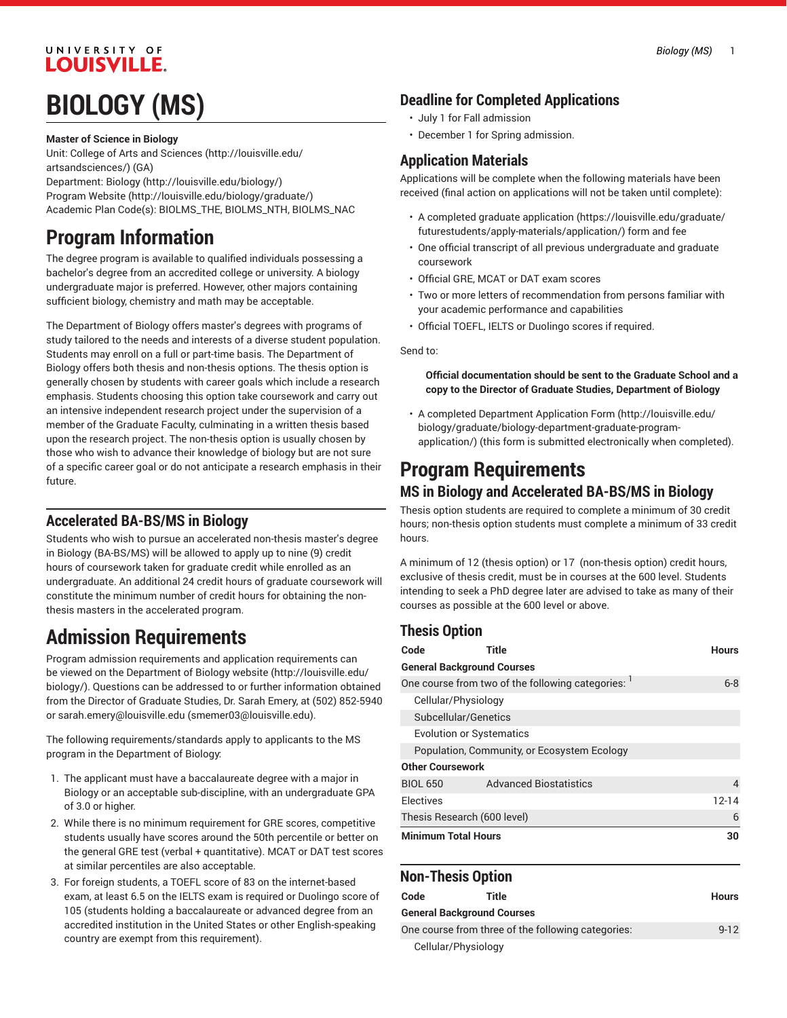#### UNIVERSITY OF **LOUISVILLE.**

# **BIOLOGY (MS)**

#### **Master of Science in Biology**

Unit: College of Arts and [Sciences \(http://louisville.edu/](http://louisville.edu/artsandsciences/) [artsandsciences/\)](http://louisville.edu/artsandsciences/) (GA) Department: [Biology](http://louisville.edu/biology/) (<http://louisville.edu/biology/>) [Program](http://louisville.edu/biology/graduate/) Website [\(http://louisville.edu/biology/graduate/](http://louisville.edu/biology/graduate/)) Academic Plan Code(s): BIOLMS\_THE, BIOLMS\_NTH, BIOLMS\_NAC

## **Program Information**

The degree program is available to qualified individuals possessing a bachelor's degree from an accredited college or university. A biology undergraduate major is preferred. However, other majors containing sufficient biology, chemistry and math may be acceptable.

The Department of Biology offers master's degrees with programs of study tailored to the needs and interests of a diverse student population. Students may enroll on a full or part-time basis. The Department of Biology offers both thesis and non-thesis options. The thesis option is generally chosen by students with career goals which include a research emphasis. Students choosing this option take coursework and carry out an intensive independent research project under the supervision of a member of the Graduate Faculty, culminating in a written thesis based upon the research project. The non-thesis option is usually chosen by those who wish to advance their knowledge of biology but are not sure of a specific career goal or do not anticipate a research emphasis in their future.

#### **Accelerated BA-BS/MS in Biology**

Students who wish to pursue an accelerated non-thesis master's degree in Biology (BA-BS/MS) will be allowed to apply up to nine (9) credit hours of coursework taken for graduate credit while enrolled as an undergraduate. An additional 24 credit hours of graduate coursework will constitute the minimum number of credit hours for obtaining the nonthesis masters in the accelerated program.

## **Admission Requirements**

Program admission requirements and application requirements can be viewed on the [Department](http://louisville.edu/biology/) of Biology website ([http://louisville.edu/](http://louisville.edu/biology/) [biology/\)](http://louisville.edu/biology/). Questions can be addressed to or further information obtained from the Director of Graduate Studies, Dr. Sarah Emery, at (502) 852-5940 or [sarah.emery@louisville.edu](mailto:smemer03@louisville.edu) (<smemer03@louisville.edu>).

The following requirements/standards apply to applicants to the MS program in the Department of Biology:

- 1. The applicant must have a baccalaureate degree with a major in Biology or an acceptable sub-discipline, with an undergraduate GPA of 3.0 or higher.
- 2. While there is no minimum requirement for GRE scores, competitive students usually have scores around the 50th percentile or better on the general GRE test (verbal + quantitative). MCAT or DAT test scores at similar percentiles are also acceptable.
- 3. For foreign students, a TOEFL score of 83 on the internet-based exam, at least 6.5 on the IELTS exam is required or Duolingo score of 105 (students holding a baccalaureate or advanced degree from an accredited institution in the United States or other English-speaking country are exempt from this requirement).

#### **Deadline for Completed Applications**

- July 1 for Fall admission
- December 1 for Spring admission.

#### **Application Materials**

Applications will be complete when the following materials have been received (final action on applications will not be taken until complete):

- A completed [graduate application \(https://louisville.edu/graduate/](https://louisville.edu/graduate/futurestudents/apply-materials/application/) [futurestudents/apply-materials/application/\)](https://louisville.edu/graduate/futurestudents/apply-materials/application/) form and fee
- One official transcript of all previous undergraduate and graduate coursework
- Official GRE, MCAT or DAT exam scores
- Two or more letters of recommendation from persons familiar with your academic performance and capabilities
- Official TOEFL, IELTS or Duolingo scores if required.

Send to:

#### **Official documentation should be sent to the Graduate School and a copy to the Director of Graduate Studies, Department of Biology**

• A completed [Department](http://louisville.edu/biology/graduate/biology-department-graduate-program-application/) Application Form [\(http://louisville.edu/](http://louisville.edu/biology/graduate/biology-department-graduate-program-application/) [biology/graduate/biology-department-graduate-program](http://louisville.edu/biology/graduate/biology-department-graduate-program-application/)[application/\)](http://louisville.edu/biology/graduate/biology-department-graduate-program-application/) (this form is submitted electronically when completed).

### **Program Requirements MS in Biology and Accelerated BA-BS/MS in Biology**

Thesis option students are required to complete a minimum of 30 credit hours; non-thesis option students must complete a minimum of 33 credit hours.

A minimum of 12 (thesis option) or 17 (non-thesis option) credit hours, exclusive of thesis credit, must be in courses at the 600 level. Students intending to seek a PhD degree later are advised to take as many of their courses as possible at the 600 level or above.

### **Thesis Option**

| Code                                               | Title                         | <b>Hours</b> |  |
|----------------------------------------------------|-------------------------------|--------------|--|
| <b>General Background Courses</b>                  |                               |              |  |
| One course from two of the following categories: 1 | $6-8$                         |              |  |
| Cellular/Physiology                                |                               |              |  |
| Subcellular/Genetics                               |                               |              |  |
| <b>Evolution or Systematics</b>                    |                               |              |  |
| Population, Community, or Ecosystem Ecology        |                               |              |  |
| <b>Other Coursework</b>                            |                               |              |  |
| <b>BIOL 650</b>                                    | <b>Advanced Biostatistics</b> | 4            |  |
| Electives                                          |                               | 12-14        |  |
| Thesis Research (600 level)                        | 6                             |              |  |
| <b>Minimum Total Hours</b>                         | 30                            |              |  |

#### **Non-Thesis Option**

| Code                                               | Title                             | <b>Hours</b> |
|----------------------------------------------------|-----------------------------------|--------------|
|                                                    | <b>General Background Courses</b> |              |
| One course from three of the following categories: | $9 - 12$                          |              |
|                                                    | Cellular/Physiology               |              |